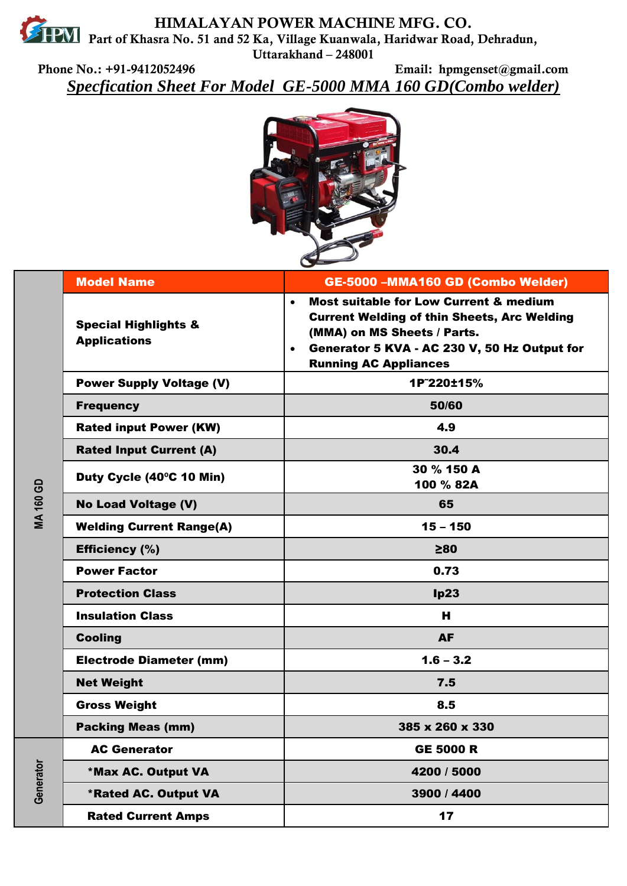**HIMALAYAN POWER MACHINE MFG. CO. PART AND PART OF KHASRA NO. 51 and 52 Ka, Village Kuanwala, Haridwar Road, Dehradun, Uttarakhand – 248001** 

**Phone No.: +91-9412052496 Email: hpmgenset@gmail.com** *Specfication Sheet For Model GE-5000 MMA 160 GD(Combo welder)*



| <b>MA 160 GD</b> | <b>Model Name</b>                                      | GE-5000 -MMA160 GD (Combo Welder)                                                                                                                                                                                                                |
|------------------|--------------------------------------------------------|--------------------------------------------------------------------------------------------------------------------------------------------------------------------------------------------------------------------------------------------------|
|                  | <b>Special Highlights &amp;</b><br><b>Applications</b> | <b>Most suitable for Low Current &amp; medium</b><br>$\bullet$<br><b>Current Welding of thin Sheets, Arc Welding</b><br>(MMA) on MS Sheets / Parts.<br>Generator 5 KVA - AC 230 V, 50 Hz Output for<br>$\bullet$<br><b>Running AC Appliances</b> |
|                  | <b>Power Supply Voltage (V)</b>                        | 1P~220±15%                                                                                                                                                                                                                                       |
|                  | <b>Frequency</b>                                       | 50/60                                                                                                                                                                                                                                            |
|                  | <b>Rated input Power (KW)</b>                          | 4.9                                                                                                                                                                                                                                              |
|                  | <b>Rated Input Current (A)</b>                         | 30.4                                                                                                                                                                                                                                             |
|                  | Duty Cycle (40°C 10 Min)                               | 30 % 150 A<br>100 % 82A                                                                                                                                                                                                                          |
|                  | <b>No Load Voltage (V)</b>                             | 65                                                                                                                                                                                                                                               |
|                  | <b>Welding Current Range(A)</b>                        | $15 - 150$                                                                                                                                                                                                                                       |
|                  | Efficiency (%)                                         | $\geq 80$                                                                                                                                                                                                                                        |
|                  | <b>Power Factor</b>                                    | 0.73                                                                                                                                                                                                                                             |
|                  | <b>Protection Class</b>                                | lp23                                                                                                                                                                                                                                             |
|                  | <b>Insulation Class</b>                                | н                                                                                                                                                                                                                                                |
|                  | <b>Cooling</b>                                         | <b>AF</b>                                                                                                                                                                                                                                        |
|                  | <b>Electrode Diameter (mm)</b>                         | $1.6 - 3.2$                                                                                                                                                                                                                                      |
|                  | <b>Net Weight</b>                                      | 7.5                                                                                                                                                                                                                                              |
|                  | <b>Gross Weight</b>                                    | 8.5                                                                                                                                                                                                                                              |
|                  | <b>Packing Meas (mm)</b>                               | 385 x 260 x 330                                                                                                                                                                                                                                  |
| Generator        | <b>AC Generator</b>                                    | <b>GE 5000 R</b>                                                                                                                                                                                                                                 |
|                  | *Max AC. Output VA                                     | 4200 / 5000                                                                                                                                                                                                                                      |
|                  | <b>*Rated AC. Output VA</b>                            | 3900 / 4400                                                                                                                                                                                                                                      |
|                  | <b>Rated Current Amps</b>                              | 17                                                                                                                                                                                                                                               |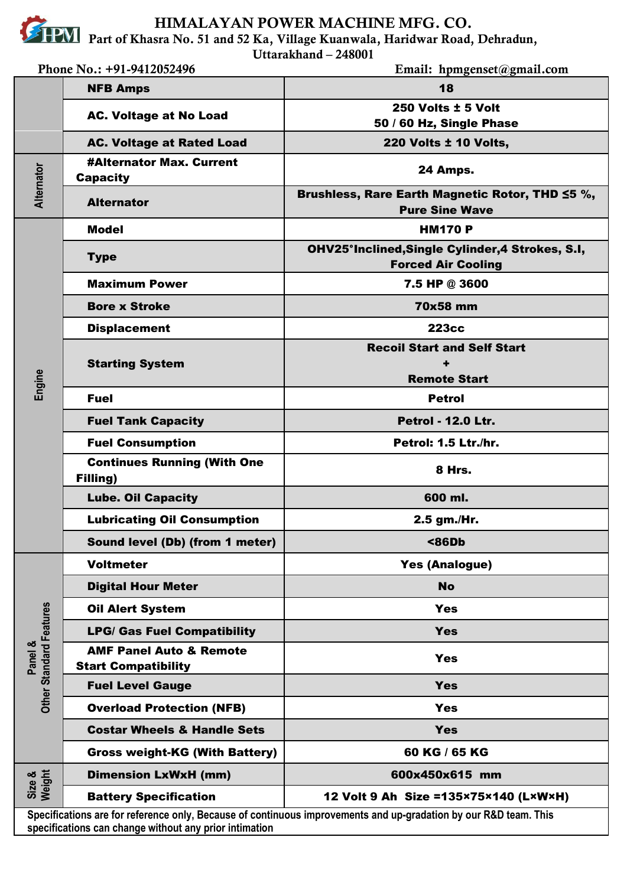**HIMALAYAN POWER MACHINE MFG. CO.**

**Part of Khasra No. 51 and 52 Ka, Village Kuanwala, Haridwar Road, Dehradun,** 

**Uttarakhand – 248001** 

| Phone No.: +91-9412052496                                                                                                                                                  |                                                                  | Email: hpmgenset@gmail.com                                                    |  |
|----------------------------------------------------------------------------------------------------------------------------------------------------------------------------|------------------------------------------------------------------|-------------------------------------------------------------------------------|--|
|                                                                                                                                                                            | <b>NFB Amps</b>                                                  | 18                                                                            |  |
| Alternator                                                                                                                                                                 | <b>AC. Voltage at No Load</b>                                    | 250 Volts ± 5 Volt                                                            |  |
|                                                                                                                                                                            |                                                                  | 50 / 60 Hz, Single Phase                                                      |  |
|                                                                                                                                                                            | <b>AC. Voltage at Rated Load</b>                                 | <b>220 Volts ± 10 Volts,</b>                                                  |  |
|                                                                                                                                                                            | <b>#Alternator Max. Current</b><br><b>Capacity</b>               | 24 Amps.                                                                      |  |
|                                                                                                                                                                            | <b>Alternator</b>                                                | Brushless, Rare Earth Magnetic Rotor, THD ≤5 %,<br><b>Pure Sine Wave</b>      |  |
|                                                                                                                                                                            | Model                                                            | <b>HM170 P</b>                                                                |  |
|                                                                                                                                                                            | <b>Type</b>                                                      | OHV25°Inclined, Single Cylinder, 4 Strokes, S.I,<br><b>Forced Air Cooling</b> |  |
|                                                                                                                                                                            | <b>Maximum Power</b>                                             | 7.5 HP @ 3600                                                                 |  |
|                                                                                                                                                                            | <b>Bore x Stroke</b>                                             | 70x58 mm                                                                      |  |
|                                                                                                                                                                            | <b>Displacement</b>                                              | <b>223cc</b>                                                                  |  |
|                                                                                                                                                                            | <b>Starting System</b>                                           | <b>Recoil Start and Self Start</b>                                            |  |
|                                                                                                                                                                            |                                                                  |                                                                               |  |
| Engine                                                                                                                                                                     | <b>Fuel</b>                                                      | <b>Remote Start</b><br><b>Petrol</b>                                          |  |
|                                                                                                                                                                            |                                                                  | <b>Petrol - 12.0 Ltr.</b>                                                     |  |
|                                                                                                                                                                            | <b>Fuel Tank Capacity</b>                                        |                                                                               |  |
|                                                                                                                                                                            | <b>Fuel Consumption</b><br><b>Continues Running (With One</b>    | Petrol: 1.5 Ltr./hr.                                                          |  |
|                                                                                                                                                                            | Filling)                                                         | 8 Hrs.                                                                        |  |
|                                                                                                                                                                            | <b>Lube. Oil Capacity</b>                                        | 600 ml.                                                                       |  |
|                                                                                                                                                                            | <b>Lubricating Oil Consumption</b>                               | 2.5 gm./Hr.                                                                   |  |
|                                                                                                                                                                            | Sound level (Db) (from 1 meter)                                  | $86Db$                                                                        |  |
|                                                                                                                                                                            | <b>Voltmeter</b>                                                 | <b>Yes (Analogue)</b>                                                         |  |
|                                                                                                                                                                            | <b>Digital Hour Meter</b>                                        | <b>No</b>                                                                     |  |
|                                                                                                                                                                            | <b>Oil Alert System</b>                                          | <b>Yes</b>                                                                    |  |
|                                                                                                                                                                            | <b>LPG/ Gas Fuel Compatibility</b>                               | <b>Yes</b>                                                                    |  |
| Other Standard Features<br>Panel &                                                                                                                                         | <b>AMF Panel Auto &amp; Remote</b><br><b>Start Compatibility</b> | <b>Yes</b>                                                                    |  |
|                                                                                                                                                                            | <b>Fuel Level Gauge</b>                                          | <b>Yes</b>                                                                    |  |
|                                                                                                                                                                            | <b>Overload Protection (NFB)</b>                                 | <b>Yes</b>                                                                    |  |
|                                                                                                                                                                            | <b>Costar Wheels &amp; Handle Sets</b>                           | <b>Yes</b>                                                                    |  |
|                                                                                                                                                                            | <b>Gross weight-KG (With Battery)</b>                            | 60 KG / 65 KG                                                                 |  |
| Size &<br>Weight                                                                                                                                                           | <b>Dimension LxWxH (mm)</b>                                      | 600x450x615 mm                                                                |  |
|                                                                                                                                                                            | <b>Battery Specification</b>                                     | 12 Volt 9 Ah Size = 135×75×140 (L×W×H)                                        |  |
| Specifications are for reference only, Because of continuous improvements and up-gradation by our R&D team. This<br>specifications can change without any prior intimation |                                                                  |                                                                               |  |